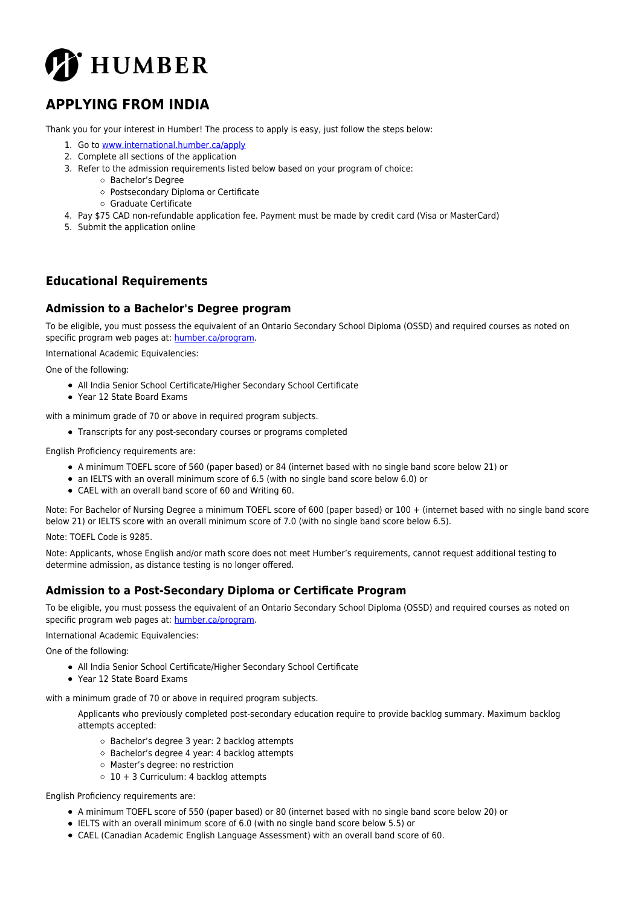

# **APPLYING FROM INDIA**

Thank you for your interest in Humber! The process to apply is easy, just follow the steps below:

- 1. Go to [www.international.humber.ca/apply](http://www.international.humber.ca/apply)
- 2. Complete all sections of the application
- 3. Refer to the admission requirements listed below based on your program of choice:
	- Bachelor's Degree
		- Postsecondary Diploma or Certificate
		- Graduate Certificate
- 4. Pay \$75 CAD non-refundable application fee. Payment must be made by credit card (Visa or MasterCard)
- 5. Submit the application online

# **Educational Requirements**

#### **Admission to a Bachelor's Degree program**

To be eligible, you must possess the equivalent of an Ontario Secondary School Diploma (OSSD) and required courses as noted on specific program web pages at: [humber.ca/program](http://humber.ca/program).

International Academic Equivalencies:

One of the following:

- All India Senior School Certificate/Higher Secondary School Certificate
- Year 12 State Board Exams

with a minimum grade of 70 or above in required program subjects.

Transcripts for any post-secondary courses or programs completed

English Proficiency requirements are:

- A minimum TOEFL score of 560 (paper based) or 84 (internet based with no single band score below 21) or
- an IELTS with an overall minimum score of 6.5 (with no single band score below 6.0) or
- CAEL with an overall band score of 60 and Writing 60.

Note: For Bachelor of Nursing Degree a minimum TOEFL score of 600 (paper based) or 100 + (internet based with no single band score below 21) or IELTS score with an overall minimum score of 7.0 (with no single band score below 6.5).

Note: TOEFL Code is 9285.

Note: Applicants, whose English and/or math score does not meet Humber's requirements, cannot request additional testing to determine admission, as distance testing is no longer offered.

#### **Admission to a Post-Secondary Diploma or Certificate Program**

To be eligible, you must possess the equivalent of an Ontario Secondary School Diploma (OSSD) and required courses as noted on specific program web pages at: [humber.ca/program](http://humber.ca/program).

International Academic Equivalencies:

One of the following:

- All India Senior School Certificate/Higher Secondary School Certificate
- Year 12 State Board Exams

with a minimum grade of 70 or above in required program subjects.

Applicants who previously completed post-secondary education require to provide backlog summary. Maximum backlog attempts accepted:

- Bachelor's degree 3 year: 2 backlog attempts
- Bachelor's degree 4 year: 4 backlog attempts
- Master's degree: no restriction
- $\circ$  10 + 3 Curriculum: 4 backlog attempts

English Proficiency requirements are:

- A minimum TOEFL score of 550 (paper based) or 80 (internet based with no single band score below 20) or
- IELTS with an overall minimum score of 6.0 (with no single band score below 5.5) or
- CAEL (Canadian Academic English Language Assessment) with an overall band score of 60.